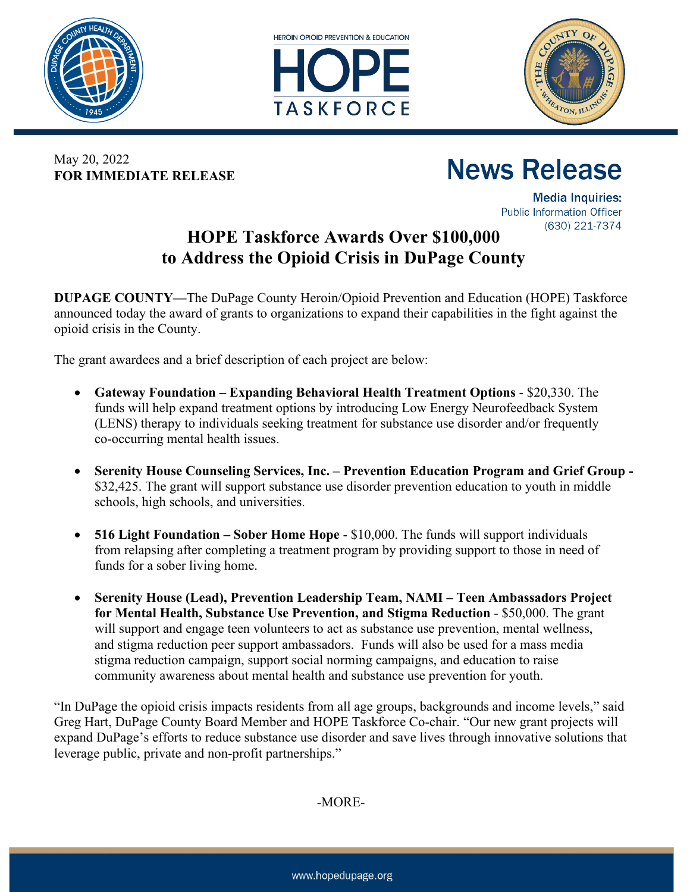





May 20, 2022 **FOR IMMEDIATE RELEASE**

## **News Release**

**Media Inquiries: Public Information Officer** (630) 221-7374

## **HOPE Taskforce Awards Over \$100,000 to Address the Opioid Crisis in DuPage County**

**DUPAGE COUNTY—**The DuPage County Heroin/Opioid Prevention and Education (HOPE) Taskforce announced today the award of grants to organizations to expand their capabilities in the fight against the opioid crisis in the County.

The grant awardees and a brief description of each project are below:

- **Gateway Foundation – Expanding Behavioral Health Treatment Options** \$20,330. The funds will help expand treatment options by introducing Low Energy Neurofeedback System (LENS) therapy to individuals seeking treatment for substance use disorder and/or frequently co-occurring mental health issues.
- **Serenity House Counseling Services, Inc. – Prevention Education Program and Grief Group -** \$32,425. The grant will support substance use disorder prevention education to youth in middle schools, high schools, and universities.
- **516 Light Foundation – Sober Home Hope** \$10,000. The funds will support individuals from relapsing after completing a treatment program by providing support to those in need of funds for a sober living home.
- **Serenity House (Lead), Prevention Leadership Team, NAMI – Teen Ambassadors Project for Mental Health, Substance Use Prevention, and Stigma Reduction** - \$50,000. The grant will support and engage teen volunteers to act as substance use prevention, mental wellness, and stigma reduction peer support ambassadors. Funds will also be used for a mass media stigma reduction campaign, support social norming campaigns, and education to raise community awareness about mental health and substance use prevention for youth.

"In DuPage the opioid crisis impacts residents from all age groups, backgrounds and income levels," said Greg Hart, DuPage County Board Member and HOPE Taskforce Co-chair. "Our new grant projects will expand DuPage's efforts to reduce substance use disorder and save lives through innovative solutions that leverage public, private and non-profit partnerships."

-MORE-